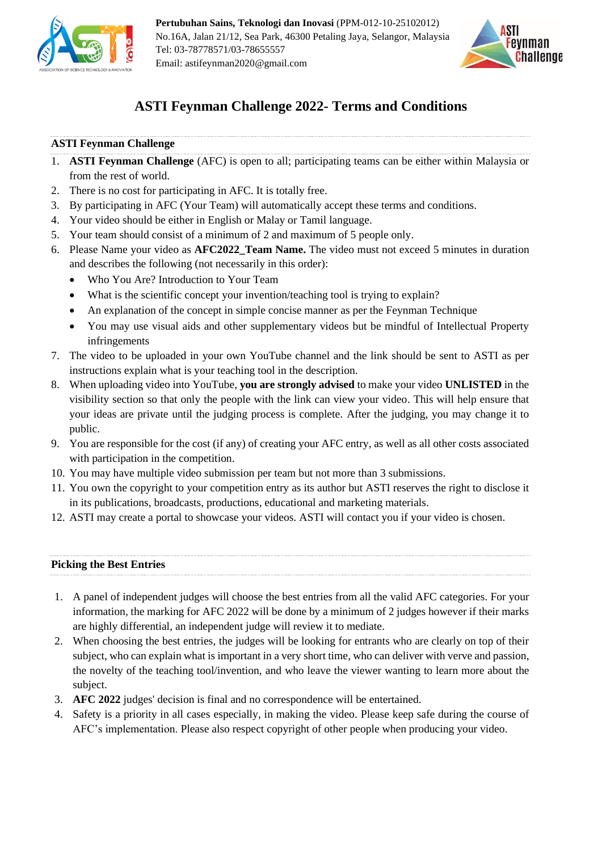



# **ASTI Feynman Challenge 2022- Terms and Conditions**

# **ASTI Feynman Challenge**

- 1. **ASTI Feynman Challenge** (AFC) is open to all; participating teams can be either within Malaysia or from the rest of world.
- 2. There is no cost for participating in AFC. It is totally free.
- 3. By participating in AFC (Your Team) will automatically accept these terms and conditions.
- 4. Your video should be either in English or Malay or Tamil language.
- 5. Your team should consist of a minimum of 2 and maximum of 5 people only.
- 6. Please Name your video as **AFC2022\_Team Name.** The video must not exceed 5 minutes in duration and describes the following (not necessarily in this order):
	- Who You Are? Introduction to Your Team
	- What is the scientific concept your invention/teaching tool is trying to explain?
	- An explanation of the concept in simple concise manner as per the Feynman Technique
	- You may use visual aids and other supplementary videos but be mindful of Intellectual Property infringements
- 7. The video to be uploaded in your own YouTube channel and the link should be sent to ASTI as per instructions explain what is your teaching tool in the description.
- 8. When uploading video into YouTube, **you are strongly advised** to make your video **UNLISTED** in the visibility section so that only the people with the link can view your video. This will help ensure that your ideas are private until the judging process is complete. After the judging, you may change it to public.
- 9. You are responsible for the cost (if any) of creating your AFC entry, as well as all other costs associated with participation in the competition.
- 10. You may have multiple video submission per team but not more than 3 submissions.
- 11. You own the copyright to your competition entry as its author but ASTI reserves the right to disclose it in its publications, broadcasts, productions, educational and marketing materials.
- 12. ASTI may create a portal to showcase your videos. ASTI will contact you if your video is chosen.

# **Picking the Best Entries**

- 1. A panel of independent judges will choose the best entries from all the valid AFC categories. For your information, the marking for AFC 2022 will be done by a minimum of 2 judges however if their marks are highly differential, an independent judge will review it to mediate.
- 2. When choosing the best entries, the judges will be looking for entrants who are clearly on top of their subject, who can explain what is important in a very short time, who can deliver with verve and passion, the novelty of the teaching tool/invention, and who leave the viewer wanting to learn more about the subject.
- 3. **AFC 2022** judges' decision is final and no correspondence will be entertained.
- 4. Safety is a priority in all cases especially, in making the video. Please keep safe during the course of AFC's implementation. Please also respect copyright of other people when producing your video.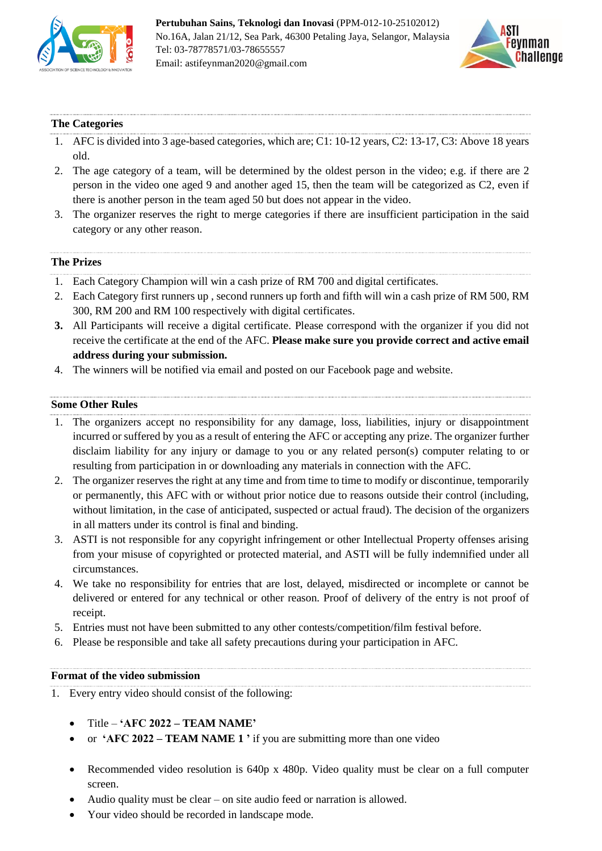



## **The Categories**

- 1. AFC is divided into 3 age-based categories, which are; C1: 10-12 years, C2: 13-17, C3: Above 18 years old.
- 2. The age category of a team, will be determined by the oldest person in the video; e.g. if there are 2 person in the video one aged 9 and another aged 15, then the team will be categorized as C2, even if there is another person in the team aged 50 but does not appear in the video.
- 3. The organizer reserves the right to merge categories if there are insufficient participation in the said category or any other reason.

## **The Prizes**

- 1. Each Category Champion will win a cash prize of RM 700 and digital certificates.
- 2. Each Category first runners up , second runners up forth and fifth will win a cash prize of RM 500, RM 300, RM 200 and RM 100 respectively with digital certificates.
- **3.** All Participants will receive a digital certificate. Please correspond with the organizer if you did not receive the certificate at the end of the AFC. **Please make sure you provide correct and active email address during your submission.**
- 4. The winners will be notified via email and posted on our Facebook page and website.

#### **Some Other Rules**

- 1. The organizers accept no responsibility for any damage, loss, liabilities, injury or disappointment incurred or suffered by you as a result of entering the AFC or accepting any prize. The organizer further disclaim liability for any injury or damage to you or any related person(s) computer relating to or resulting from participation in or downloading any materials in connection with the AFC.
- 2. The organizer reserves the right at any time and from time to time to modify or discontinue, temporarily or permanently, this AFC with or without prior notice due to reasons outside their control (including, without limitation, in the case of anticipated, suspected or actual fraud). The decision of the organizers in all matters under its control is final and binding.
- 3. ASTI is not responsible for any copyright infringement or other Intellectual Property offenses arising from your misuse of copyrighted or protected material, and ASTI will be fully indemnified under all circumstances.
- 4. We take no responsibility for entries that are lost, delayed, misdirected or incomplete or cannot be delivered or entered for any technical or other reason. Proof of delivery of the entry is not proof of receipt.
- 5. Entries must not have been submitted to any other contests/competition/film festival before.
- 6. Please be responsible and take all safety precautions during your participation in AFC.

#### **Format of the video submission**

- 1. Every entry video should consist of the following:
	- Title **'AFC 2022 – TEAM NAME'**
	- or **'AFC 2022 – TEAM NAME 1 '** if you are submitting more than one video
	- Recommended video resolution is 640p x 480p. Video quality must be clear on a full computer screen.
	- Audio quality must be clear on site audio feed or narration is allowed.
	- Your video should be recorded in landscape mode.